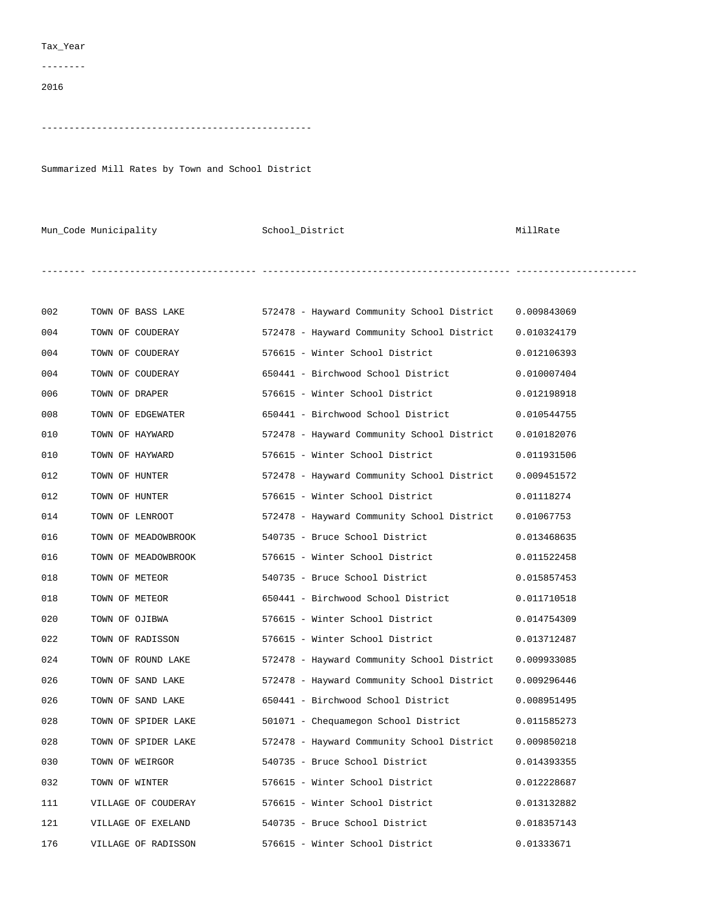## Tax\_Year

--------

2016

-------------------------------------------------

Summarized Mill Rates by Town and School District

Mun\_Code Municipality  $School_D$ istrict  $M$ illRate

-------- ------------------------------ --------------------------------------------- ----------------------

| 002 | TOWN OF BASS LAKE   | 572478 - Hayward Community School District | 0.009843069 |
|-----|---------------------|--------------------------------------------|-------------|
| 004 | TOWN OF COUDERAY    | 572478 - Hayward Community School District | 0.010324179 |
| 004 | TOWN OF COUDERAY    | 576615 - Winter School District            | 0.012106393 |
| 004 | TOWN OF COUDERAY    | 650441 - Birchwood School District         | 0.010007404 |
| 006 | TOWN OF DRAPER      | 576615 - Winter School District            | 0.012198918 |
| 008 | TOWN OF EDGEWATER   | 650441 - Birchwood School District         | 0.010544755 |
| 010 | TOWN OF HAYWARD     | 572478 - Hayward Community School District | 0.010182076 |
| 010 | TOWN OF HAYWARD     | 576615 - Winter School District            | 0.011931506 |
| 012 | TOWN OF HUNTER      | 572478 - Hayward Community School District | 0.009451572 |
| 012 | TOWN OF HUNTER      | 576615 - Winter School District            | 0.01118274  |
| 014 | TOWN OF LENROOT     | 572478 - Hayward Community School District | 0.01067753  |
| 016 | TOWN OF MEADOWBROOK | 540735 - Bruce School District             | 0.013468635 |
| 016 | TOWN OF MEADOWBROOK | 576615 - Winter School District            | 0.011522458 |
| 018 | TOWN OF METEOR      | 540735 - Bruce School District             | 0.015857453 |
| 018 | TOWN OF METEOR      | 650441 - Birchwood School District         | 0.011710518 |
| 020 | TOWN OF OJIBWA      | 576615 - Winter School District            | 0.014754309 |
| 022 | TOWN OF RADISSON    | 576615 - Winter School District            | 0.013712487 |
| 024 | TOWN OF ROUND LAKE  | 572478 - Hayward Community School District | 0.009933085 |
| 026 | TOWN OF SAND LAKE   | 572478 - Hayward Community School District | 0.009296446 |
| 026 | TOWN OF SAND LAKE   | 650441 - Birchwood School District         | 0.008951495 |
| 028 | TOWN OF SPIDER LAKE | 501071 - Chequamegon School District       | 0.011585273 |
| 028 | TOWN OF SPIDER LAKE | 572478 - Hayward Community School District | 0.009850218 |
| 030 | TOWN OF WEIRGOR     | 540735 - Bruce School District             | 0.014393355 |
| 032 | TOWN OF WINTER      | 576615 - Winter School District            | 0.012228687 |
| 111 | VILLAGE OF COUDERAY | 576615 - Winter School District            | 0.013132882 |
| 121 | VILLAGE OF EXELAND  | 540735 - Bruce School District             | 0.018357143 |
| 176 | VILLAGE OF RADISSON | 576615 - Winter School District            | 0.01333671  |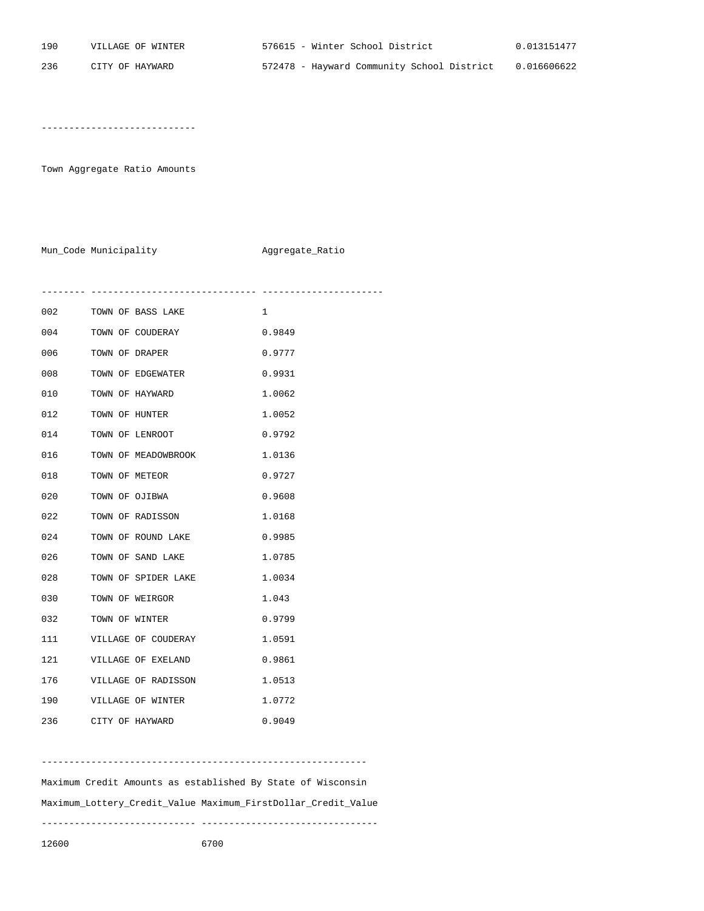----------------------------

Town Aggregate Ratio Amounts

Mun\_Code Municipality **Aggregate\_Ratio** 

-------- ------------------------------ ----------------------

| 002 | TOWN OF BASS LAKE   | 1      |
|-----|---------------------|--------|
| 004 | TOWN OF COUDERAY    | 0.9849 |
| 006 | TOWN OF DRAPER      | 0.9777 |
| 008 | TOWN OF EDGEWATER   | 0.9931 |
| 010 | TOWN OF HAYWARD     | 1.0062 |
| 012 | TOWN OF HUNTER      | 1.0052 |
| 014 | TOWN OF LENROOT     | 0.9792 |
| 016 | TOWN OF MEADOWBROOK | 1.0136 |
| 018 | TOWN OF METEOR      | 0.9727 |
| 020 | TOWN OF OJIBWA      | 0.9608 |
| 022 | TOWN OF RADISSON    | 1.0168 |
| 024 | TOWN OF ROUND LAKE  | 0.9985 |
| 026 | TOWN OF SAND LAKE   | 1.0785 |
| 028 | TOWN OF SPIDER LAKE | 1.0034 |
| 030 | TOWN OF WEIRGOR     | 1.043  |
| 032 | TOWN OF WINTER      | 0.9799 |
| 111 | VILLAGE OF COUDERAY | 1.0591 |
| 121 | VILLAGE OF EXELAND  | 0.9861 |
| 176 | VILLAGE OF RADISSON | 1.0513 |
| 190 | VILLAGE OF WINTER   | 1.0772 |
| 236 | CITY OF HAYWARD     | 0.9049 |

----------------------------------------------------------- Maximum Credit Amounts as established By State of Wisconsin Maximum\_Lottery\_Credit\_Value Maximum\_FirstDollar\_Credit\_Value ---------------------------- --------------------------------

12600 6700